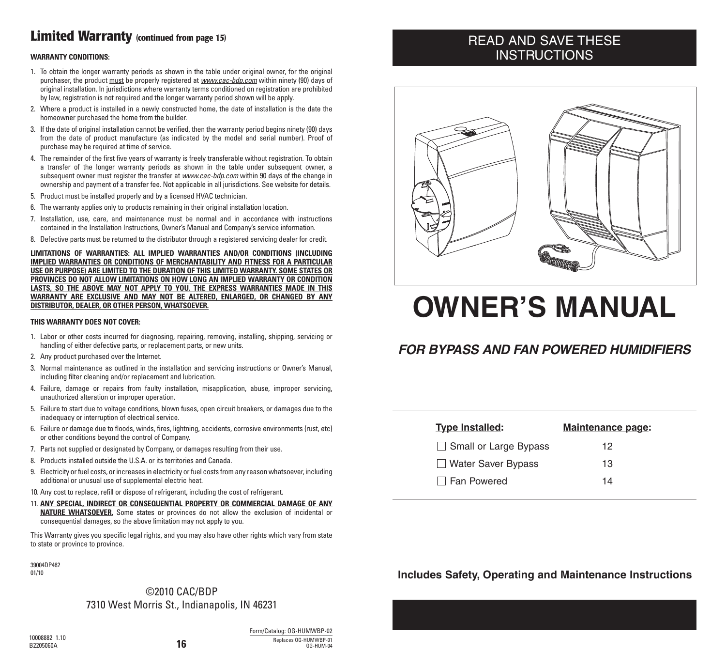### **Limited Warranty (continued from page 15)**

#### **WARRANTY CONDITIONS:**

- 1. To obtain the longer warranty periods as shown in the table under original owner, for the original purchaser, the product must be properly registered at *www.cac-bdp.com* within ninety (90) days of original installation. In jurisdictions where warranty terms conditioned on registration are prohibited by law, registration is not required and the longer warranty period shown will be apply.
- 2. Where a product is installed in a newly constructed home, the date of installation is the date the homeowner purchased the home from the builder.
- 3. If the date of original installation cannot be verified, then the warranty period begins ninety (90) days from the date of product manufacture (as indicated by the model and serial number). Proof of purchase may be required at time of service.
- 4. The remainder of the first five years of warranty is freely transferable without registration. To obtain a transfer of the longer warranty periods as shown in the table under subsequent owner, a subsequent owner must register the transfer at *www.cac-bdp.com* within 90 days of the change in ownership and payment of a transfer fee. Not applicable in all jurisdictions. See website for details.
- 5. Product must be installed properly and by a licensed HVAC technician.
- 6. The warranty applies only to products remaining in their original installation location.
- 7. Installation, use, care, and maintenance must be normal and in accordance with instructions contained in the Installation Instructions, Owner's Manual and Company's service information.
- 8. Defective parts must be returned to the distributor through a registered servicing dealer for credit.

**LIMITATIONS OF WARRANTIES: ALL IMPLIED WARRANTIES AND/OR CONDITIONS (INCLUDING IMPLIED WARRANTIES OR CONDITIONS OF MERCHANTABILITY AND FITNESS FOR A PARTICULAR USE OR PURPOSE) ARE LIMITED TO THE DURATION OF THIS LIMITED WARRANTY. SOME STATES OR PROVINCES DO NOT ALLOW LIMITATIONS ON HOW LONG AN IMPLIED WARRANTY OR CONDITION LASTS, SO THE ABOVE MAY NOT APPLY TO YOU. THE EXPRESS WARRANTIES MADE IN THIS WARRANTY ARE EXCLUSIVE AND MAY NOT BE ALTERED, ENLARGED, OR CHANGED BY ANY DISTRIBUTOR, DEALER, OR OTHER PERSON, WHATSOEVER.**

#### **THIS WARRANTY DOES NOT COVER:**

- 1. Labor or other costs incurred for diagnosing, repairing, removing, installing, shipping, servicing or handling of either defective parts, or replacement parts, or new units.
- 2. Any product purchased over the Internet.
- 3. Normal maintenance as outlined in the installation and servicing instructions or Owner's Manual, including filter cleaning and/or replacement and lubrication.
- 4. Failure, damage or repairs from faulty installation, misapplication, abuse, improper servicing, unauthorized alteration or improper operation.
- 5. Failure to start due to voltage conditions, blown fuses, open circuit breakers, or damages due to the inadequacy or interruption of electrical service.
- 6. Failure or damage due to floods, winds, fires, lightning, accidents, corrosive environments (rust, etc) or other conditions beyond the control of Company.
- 7. Parts not supplied or designated by Company, or damages resulting from their use.
- 8. Products installed outside the U.S.A. or its territories and Canada.
- 9. Electricity orfuel costs, orincreases in electricity orfuel costs from any reason whatsoever, including additional or unusual use of supplemental electric heat.
- 10. Any cost to replace, refill or dispose of refrigerant, including the cost of refrigerant.
- 11. **ANY SPECIAL, INDIRECT OR CONSEQUENTIAL PROPERTY OR COMMERCIAL DAMAGE OF ANY NATURE WHATSOEVER.** Some states or provinces do not allow the exclusion of incidental or consequential damages, so the above limitation may not apply to you.

This Warranty gives you specific legal rights, and you may also have other rights which vary from state to state or province to province.

39004DP462 01/10

#### ©2010 CAC/BDP 7310 West Morris St., Indianapolis, IN 46231

Form/Catalog: OG-HUMWBP-02 Replaces OG-HUMWBP-01 The Meplaces UG-HUMWBP-01<br>0G-HUM-04

### READ AND SAVE THESE **INSTRUCTIONS**



# **OWNER'S MANUAL**

### *FOR BYPASS AND FAN POWERED HUMIDIFIERS*

| <b>Maintenance page:</b> |
|--------------------------|
| 12                       |
| 13                       |
| 14                       |
|                          |

#### **Includes Safety, Operating and Maintenance Instructions**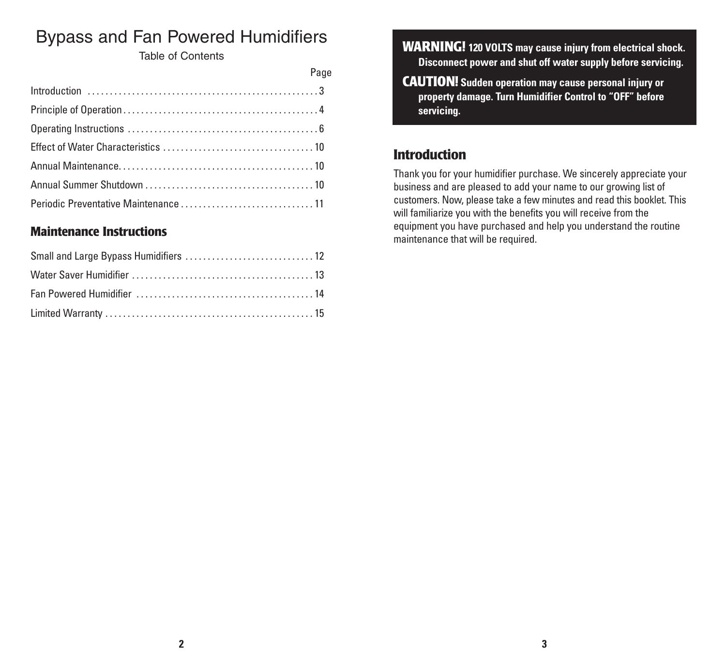# Bypass and Fan Powered Humidifiers

Table of Contents

| Page |
|------|
|      |
|      |
|      |
|      |
|      |
|      |
|      |

### **Maintenance Instructions**

**WARNING! 120 VOLTS may cause injury from electrical shock. Disconnect power and shut off water supply before servicing.**

**CAUTION! Sudden operation may cause personal injury or property damage. Turn Humidifier Control to "OFF" before servicing.**

### **Introduction**

Thank you for your humidifier purchase. We sincerely appreciate your business and are pleased to add your name to our growing list of customers. Now, please take a few minutes and read this booklet. This will familiarize you with the benefits you will receive from the equipment you have purchased and help you understand the routine maintenance that will be required.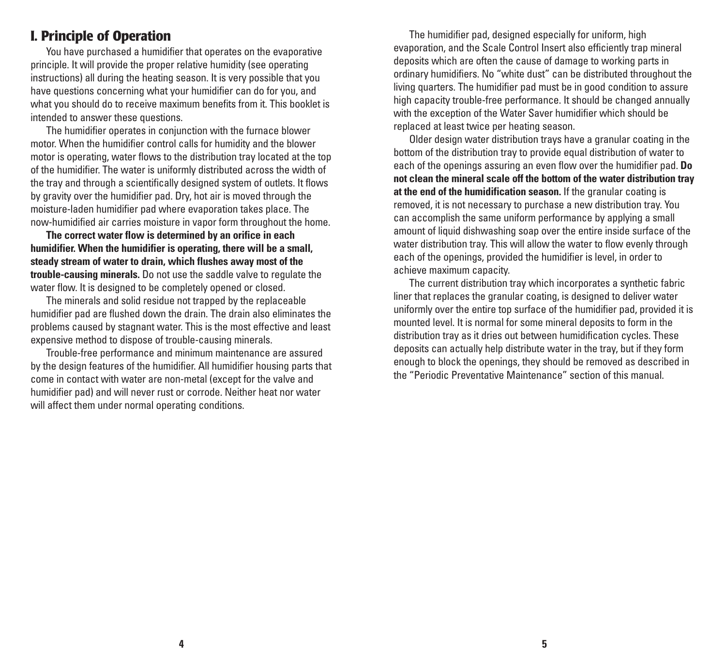#### **I. Principle of Operation**

You have purchased a humidifier that operates on the evaporative principle. It will provide the proper relative humidity (see operating instructions) all during the heating season. It is very possible that you have questions concerning what your humidifier can do for you, and what you should do to receive maximum benefits from it. This booklet is intended to answer these questions.

The humidifier operates in conjunction with the furnace blower motor. When the humidifier control calls for humidity and the blower motor is operating, water flows to the distribution tray located at the top of the humidifier. The water is uniformly distributed across the width of the tray and through a scientifically designed system of outlets. It flows by gravity over the humidifier pad. Dry, hot air is moved through the moisture-laden humidifier pad where evaporation takes place. The now-humidified air carries moisture in vapor form throughout the home.

**The correct water flow is determined by an orifice in each humidifier. When the humidifier is operating, there will be a small, steady stream of water to drain, which flushes away most of the trouble-causing minerals.** Do not use the saddle valve to regulate the water flow. It is designed to be completely opened or closed.

The minerals and solid residue not trapped by the replaceable humidifier pad are flushed down the drain. The drain also eliminates the problems caused by stagnant water. This is the most effective and least expensive method to dispose of trouble-causing minerals.

Trouble-free performance and minimum maintenance are assured by the design features of the humidifier. All humidifier housing parts that come in contact with water are non-metal (except for the valve and humidifier pad) and will never rust or corrode. Neither heat nor water will affect them under normal operating conditions.

The humidifier pad, designed especially for uniform, high evaporation, and the Scale Control Insert also efficiently trap mineral deposits which are often the cause of damage to working parts in ordinary humidifiers. No "white dust" can be distributed throughout the living quarters. The humidifier pad must be in good condition to assure high capacity trouble-free performance. It should be changed annually with the exception of the Water Saver humidifier which should be replaced at least twice per heating season.

Older design water distribution trays have a granular coating in the bottom of the distribution tray to provide equal distribution of water to each of the openings assuring an even flow over the humidifier pad. **Do not clean the mineral scale off the bottom of the water distribution tray at the end of the humidification season.** If the granular coating is removed, it is not necessary to purchase a new distribution tray. You can accomplish the same uniform performance by applying a small amount of liquid dishwashing soap over the entire inside surface of the water distribution tray. This will allow the water to flow evenly through each of the openings, provided the humidifier is level, in order to achieve maximum capacity.

The current distribution tray which incorporates a synthetic fabric liner that replaces the granular coating, is designed to deliver water uniformly over the entire top surface of the humidifier pad, provided it is mounted level. It is normal for some mineral deposits to form in the distribution tray as it dries out between humidification cycles. These deposits can actually help distribute water in the tray, but if they form enough to block the openings, they should be removed as described in the "Periodic Preventative Maintenance" section of this manual.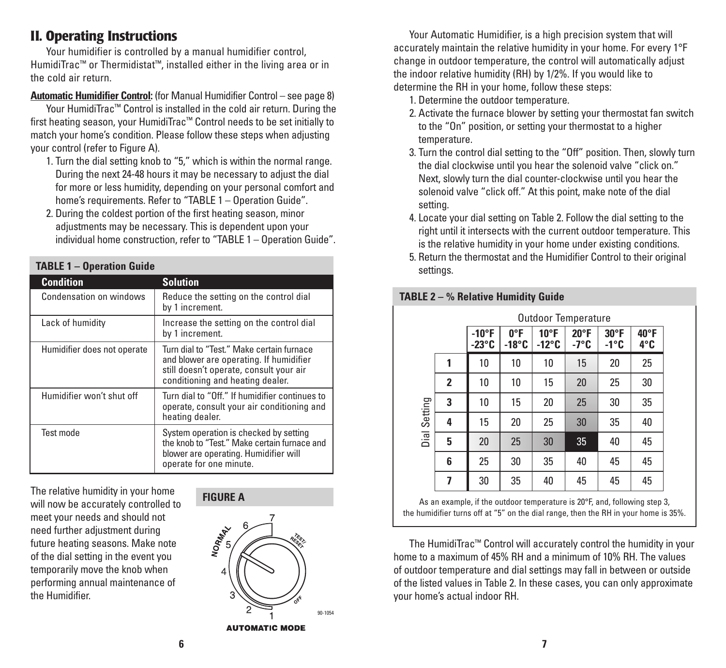### **II. Operating Instructions**

Your humidifier is controlled by a manual humidifier control, HumidiTrac™ or Thermidistat™, installed either in the living area or in the cold air return.

#### **Automatic Humidifier Control:** (for Manual Humidifier Control – see page 8)

Your HumidiTrac™ Control is installed in the cold air return. During the first heating season, your HumidiTrac™ Control needs to be set initially to match your home's condition. Please follow these steps when adjusting your control (refer to Figure A).

- 1. Turn the dial setting knob to "5," which is within the normal range. During the next 24-48 hours it may be necessary to adjust the dial for more or less humidity, depending on your personal comfort and home's requirements. Refer to "TABLE 1 – Operation Guide".
- 2. During the coldest portion of the first heating season, minor adjustments may be necessary. This is dependent upon your individual home construction, refer to "TABLE 1 – Operation Guide".

| <b>TABLE 1 - Operation Guide</b> |                                                                                                                                                                     |  |  |  |
|----------------------------------|---------------------------------------------------------------------------------------------------------------------------------------------------------------------|--|--|--|
| <b>Condition</b>                 | <b>Solution</b>                                                                                                                                                     |  |  |  |
| Condensation on windows          | Reduce the setting on the control dial<br>by 1 increment.                                                                                                           |  |  |  |
| Lack of humidity                 | Increase the setting on the control dial<br>by 1 increment.                                                                                                         |  |  |  |
| Humidifier does not operate      | Turn dial to "Test." Make certain furnace<br>and blower are operating. If humidifier<br>still doesn't operate, consult your air<br>conditioning and heating dealer. |  |  |  |
| Humidifier won't shut off        | Turn dial to "Off." If humidifier continues to<br>operate, consult your air conditioning and<br>heating dealer.                                                     |  |  |  |
| Test mode                        | System operation is checked by setting<br>the knob to "Test." Make certain furnace and<br>blower are operating. Humidifier will<br>operate for one minute.          |  |  |  |

The relative humidity in your home will now be accurately controlled to meet your needs and should not need further adjustment during future heating seasons. Make note of the dial setting in the event you temporarily move the knob when performing annual maintenance of the Humidifier.





**AUTOMATIC MODE** 

Your Automatic Humidifier, is a high precision system that will accurately maintain the relative humidity in your home. For every 1°F change in outdoor temperature, the control will automatically adjust the indoor relative humidity (RH) by 1/2%. If you would like to determine the RH in your home, follow these steps:

- 1. Determine the outdoor temperature.
- 2. Activate the furnace blower by setting your thermostat fan switch to the "On" position, or setting your thermostat to a higher temperature.
- 3. Turn the control dial setting to the "Off" position. Then, slowly turn the dial clockwise until you hear the solenoid valve "click on." Next, slowly turn the dial counter-clockwise until you hear the solenoid valve "click off." At this point, make note of the dial setting.
- 4. Locate your dial setting on Table 2. Follow the dial setting to the right until it intersects with the current outdoor temperature. This is the relative humidity in your home under existing conditions.
- 5. Return the thermostat and the Humidifier Control to their original settings.

|              |                         | <b>Outdoor Temperature</b>      |                                  |                                  |                        |                                  |             |
|--------------|-------------------------|---------------------------------|----------------------------------|----------------------------------|------------------------|----------------------------------|-------------|
|              |                         | $-10^{\circ}F$<br>$-23^\circ$ C | $0^{\circ}$ F<br>$-18^{\circ}$ C | $10^{\circ}$ F<br>$-12^{\circ}C$ | $20^{\circ}$ F<br>-7°C | $30^{\circ}$ F<br>$-1^{\circ}$ C | 40°F<br>4°C |
|              | 1                       | 10                              | 10                               | 10                               | 15                     | 20                               | 25          |
|              | $\overline{\mathbf{2}}$ | 10                              | 10                               | 15                               | 20                     | 25                               | 30          |
|              | 3                       | 10                              | 15                               | 20                               | 25                     | 30                               | 35          |
| Dial Setting | 4                       | 15                              | 20                               | 25                               | 30                     | 35                               | 40          |
|              | 5                       | 20                              | 25                               | 30                               | 35                     | 40                               | 45          |
|              | 6                       | 25                              | 30                               | 35                               | 40                     | 45                               | 45          |
|              | 7                       | 30                              | 35                               | 40                               | 45                     | 45                               | 45          |

#### **TABLE 2 – % Relative Humidity Guide**

As an example, if the outdoor temperature is 20°F, and, following step 3, the humidifier turns off at "5" on the dial range, then the RH in your home is 35%.

The HumidiTrac™ Control will accurately control the humidity in your home to a maximum of 45% RH and a minimum of 10% RH. The values of outdoor temperature and dial settings may fall in between or outside of the listed values in Table 2. In these cases, you can only approximate your home's actual indoor RH.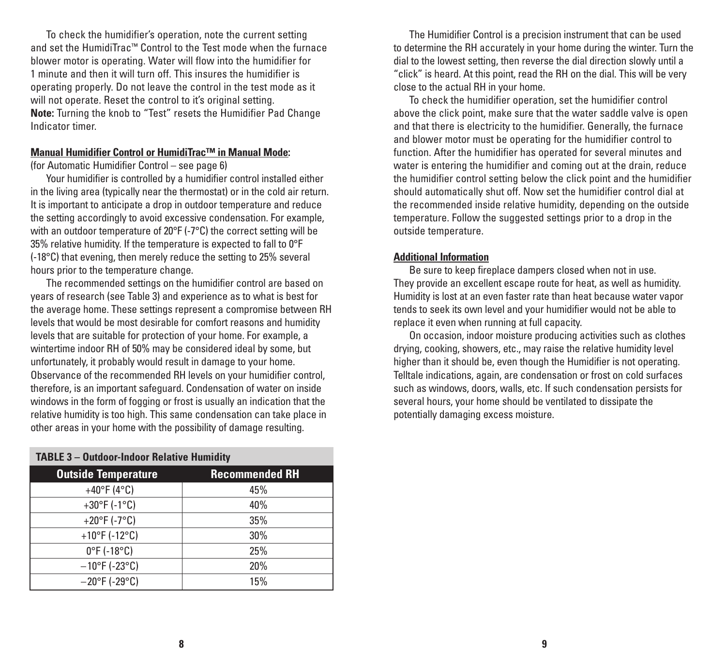To check the humidifier's operation, note the current setting and set the HumidiTrac™ Control to the Test mode when the furnace blower motor is operating. Water will flow into the humidifier for 1 minute and then it will turn off. This insures the humidifier is operating properly. Do not leave the control in the test mode as it will not operate. Reset the control to it's original setting. **Note:** Turning the knob to "Test" resets the Humidifier Pad Change Indicator timer.

#### **Manual Humidifier Control or HumidiTrac™ in Manual Mode:**

(for Automatic Humidifier Control – see page 6)

**TABLE 3 – Outdoor-Indoor Relative Humidity**

Your humidifier is controlled by a humidifier control installed either in the living area (typically near the thermostat) or in the cold air return. It is important to anticipate a drop in outdoor temperature and reduce the setting accordingly to avoid excessive condensation. For example, with an outdoor temperature of 20°F (-7°C) the correct setting will be 35% relative humidity. If the temperature is expected to fall to 0°F (-18°C) that evening, then merely reduce the setting to 25% several hours prior to the temperature change.

The recommended settings on the humidifier control are based on years of research (see Table 3) and experience as to what is best for the average home. These settings represent a compromise between RH levels that would be most desirable for comfort reasons and humidity levels that are suitable for protection of your home. For example, a wintertime indoor RH of 50% may be considered ideal by some, but unfortunately, it probably would result in damage to your home. Observance of the recommended RH levels on your humidifier control, therefore, is an important safeguard. Condensation of water on inside windows in the form of fogging or frost is usually an indication that the relative humidity is too high. This same condensation can take place in other areas in your home with the possibility of damage resulting.

| <b>IABLE 3 - UUTDOOF-INDOOF RELATIVE HUMIDITY</b> |                       |  |  |  |
|---------------------------------------------------|-----------------------|--|--|--|
| <b>Outside Temperature</b>                        | <b>Recommended RH</b> |  |  |  |
| +40°F (4°C)                                       | 45%                   |  |  |  |
| +30°F (-1°C)                                      | 40%                   |  |  |  |
| +20°F (-7°C)                                      | 35%                   |  |  |  |
| +10°F (-12°C)                                     | 30%                   |  |  |  |
| $0^{\circ}$ F (-18 $^{\circ}$ C)                  | 25%                   |  |  |  |
| $-10^{\circ}$ F (-23°C)                           | 20%                   |  |  |  |
| $-20$ °F (-29°C)                                  | 15%                   |  |  |  |

The Humidifier Control is a precision instrument that can be used to determine the RH accurately in your home during the winter. Turn the dial to the lowest setting, then reverse the dial direction slowly until a "click" is heard. At this point, read the RH on the dial. This will be very close to the actual RH in your home.

To check the humidifier operation, set the humidifier control above the click point, make sure that the water saddle valve is open and that there is electricity to the humidifier. Generally, the furnace and blower motor must be operating for the humidifier control to function. After the humidifier has operated for several minutes and water is entering the humidifier and coming out at the drain, reduce the humidifier control setting below the click point and the humidifier should automatically shut off. Now set the humidifier control dial at the recommended inside relative humidity, depending on the outside temperature. Follow the suggested settings prior to a drop in the outside temperature.

#### **Additional Information**

Be sure to keep fireplace dampers closed when not in use. They provide an excellent escape route for heat, as well as humidity. Humidity is lost at an even faster rate than heat because water vapor tends to seek its own level and your humidifier would not be able to replace it even when running at full capacity.

On occasion, indoor moisture producing activities such as clothes drying, cooking, showers, etc., may raise the relative humidity level higher than it should be, even though the Humidifier is not operating. Telltale indications, again, are condensation or frost on cold surfaces such as windows, doors, walls, etc. If such condensation persists for several hours, your home should be ventilated to dissipate the potentially damaging excess moisture.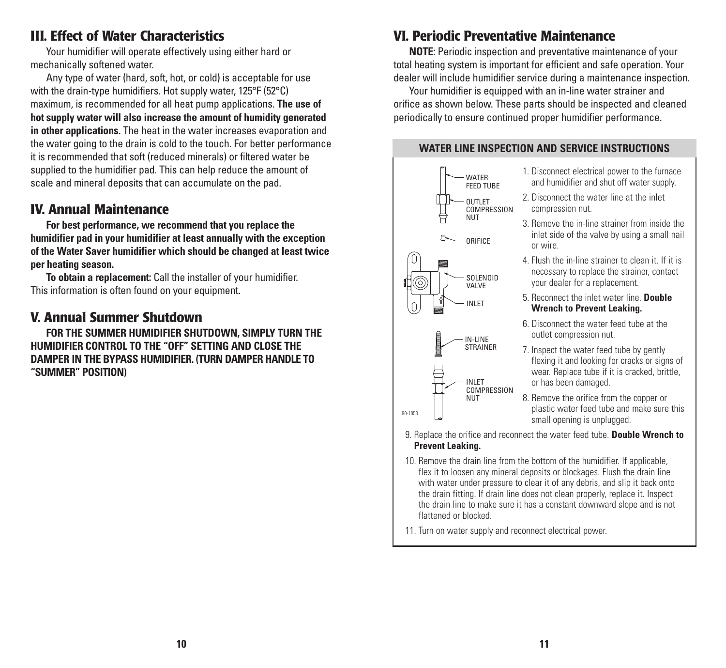### **III. Effect of Water Characteristics**

Your humidifier will operate effectively using either hard or mechanically softened water.

Any type of water (hard, soft, hot, or cold) is acceptable for use with the drain-type humidifiers. Hot supply water, 125°F (52°C) maximum, is recommended for all heat pump applications. **The use of hot supply water will also increase the amount of humidity generated in other applications.** The heat in the water increases evaporation and the water going to the drain is cold to the touch. For better performance it is recommended that soft (reduced minerals) or filtered water be supplied to the humidifier pad. This can help reduce the amount of scale and mineral deposits that can accumulate on the pad.

### **IV. Annual Maintenance**

**For best performance, we recommend that you replace the humidifier pad in your humidifier at least annually with the exception of the Water Saver humidifier which should be changed at least twice per heating season.**

**To obtain a replacement:** Call the installer of your humidifier. This information is often found on your equipment.

# **V. Annual Summer Shutdown**

**FOR THE SUMMER HUMIDIFIER SHUTDOWN, SIMPLY TURN THE HUMIDIFIER CONTROL TO THE "OFF" SETTING AND CLOSE THE DAMPER IN THE BYPASS HUMIDIFIER. (TURN DAMPER HANDLE TO "SUMMER" POSITION)**

# **VI. Periodic Preventative Maintenance**

**NOTE**: Periodic inspection and preventative maintenance of your total heating system is important for efficient and safe operation. Your dealer will include humidifier service during a maintenance inspection.

Your humidifier is equipped with an in-line water strainer and orifice as shown below. These parts should be inspected and cleaned periodically to ensure continued proper humidifier performance.

#### **WATER LINE INSPECTION AND SERVICE INSTRUCTIONS**



- 1. Disconnect electrical power to the furnace and humidifier and shut off water supply.
- 2. Disconnect the water line at the inlet compression nut.
- 3. Remove the in-line strainer from inside the inlet side of the valve by using a small nail or wire.
- 4. Flush the in-line strainer to clean it. If it is necessary to replace the strainer, contact your dealer for a replacement.
- 5. Reconnect the inlet water line. **Double Wrench to Prevent Leaking.**
- 6. Disconnect the water feed tube at the outlet compression nut.
- 7. Inspect the water feed tube by gently flexing it and looking for cracks or signs of wear. Replace tube if it is cracked, brittle, or has been damaged.

8. Remove the orifice from the copper or plastic water feed tube and make sure this small opening is unplugged.

9. Replace the orifice and reconnect the water feed tube. **Double Wrench to Prevent Leaking.**

- 10. Remove the drain line from the bottom of the humidifier. If applicable, flex it to loosen any mineral deposits or blockages. Flush the drain line with water under pressure to clear it of any debris, and slip it back onto the drain fitting. If drain line does not clean properly, replace it. Inspect the drain line to make sure it has a constant downward slope and is not flattened or blocked.
- 11. Turn on water supply and reconnect electrical power.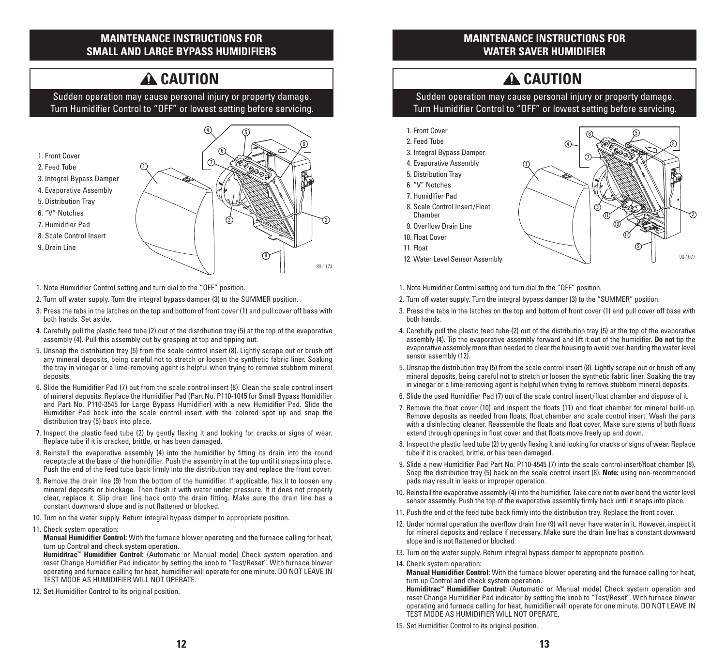#### **MAINTENANCE INSTRUCTIONS FOR SMALL AND LARGE BYPASS HUMIDIFIERS**

## **A** CAUTION

Sudden operation may cause personal injury or property damage. Turn Humidifier Control to "OFF" or lowest setting before servicing.



- 1. Note Humidifier Control setting and turn dial to the "OFF" position.
- 2. Turn off water supply. Turn the integral bypass damper (3) to the SUMMER position.
- 3. Press the tabs in the latches on the top and bottom of front cover (1) and pull cover off base with both hands. Set aside.
- 4. Carefully pull the plastic feed tube (2) out of the distribution tray (5) at the top of the evaporative assembly (4). Pull this assembly out by grasping at top and tipping out.
- 5. Unsnap the distribution tray (5) from the scale control insert (8). Lightly scrape out or brush off any mineral deposits, being careful not to stretch or loosen the synthetic fabric liner. Soaking the tray in vinegar or a lime-removing agent is helpful when trying to remove stubborn mineral deposits.
- 6. Slide the Humidifier Pad (7) out from the scale control insert (8). Clean the scale control insert of mineral deposits. Replace the Humidifier Pad (Part No. P110-1045 for Small Bypass Humidifier and Part No. P110-3545 for Large Bypass Humidifier) with a new Humidifier Pad. Slide the Humidifier Pad back into the scale control insert with the colored spot up and snap the distribution tray (5) back into place.
- 7. Inspect the plastic feed tube (2) by gently flexing it and looking for cracks or signs of wear. Replace tube if it is cracked, brittle, or has been damaged.
- 8. Reinstall the evaporative assembly (4) into the humidifier by fitting its drain into the round receptacle at the base of the humidifier. Push the assembly in at the top until it snaps into place. Push the end of the feed tube back firmly into the distribution tray and replace the front cover.
- 9. Remove the drain line (9) from the bottom of the humidifier. If applicable, flex it to loosen any mineral deposits or blockage. Then flush it with water under pressure. If it does not properly clear, replace it. Slip drain line back onto the drain fitting. Make sure the drain line has a constant downward slope and is not flattened or blocked.
- 10. Turn on the water supply. Return integral bypass damper to appropriate position.
- 11. Check system operation:

**Manual Humidifier Control:** With the furnace blower operating and the furnace calling for heat, turn up Control and check system operation.

**Humiditrac™ Humidifier Control:** (Automatic or Manual mode) Check system operation and reset Change Humidifier Pad indicator by setting the knob to "Test/Reset". With furnace blower operating and furnace calling for heat, humidifier will operate for one minute. DO NOT LEAVE IN TEST MODE AS HUMIDIFIER WILL NOT OPERATE.

12. Set Humidifier Control to its original position.

#### **MAINTENANCE INSTRUCTIONS FOR WATER SAVER HUMIDIFIER**

# **A** CAUTION

Sudden operation may cause personal injury or property damage. Turn Humidifier Control to "OFF" or lowest setting before servicing.



- 1. Note Humidifier Control setting and turn dial to the "OFF" position.
- 2. Turn off water supply. Turn the integral bypass damper (3) to the "SUMMER" position.
- 3. Press the tabs in the latches on the top and bottom of front cover (1) and pull cover off base with both hands.
- 4. Carefully pull the plastic feed tube (2) out of the distribution tray (5) at the top of the evaporative assembly (4). Tip the evaporative assembly forward and lift it out of the humidifier. **Do not** tip the evaporative assembly more than needed to clear the housing to avoid over-bending the water level sensor assembly (12).
- 5. Unsnap the distribution tray (5) from the scale control insert (8). Lightly scrape out or brush off any mineral deposits, being careful not to stretch or loosen the synthetic fabric liner. Soaking the tray in vinegar or a lime-removing agent is helpful when trying to remove stubborn mineral deposits.
- 6. Slide the used Humidifier Pad (7) out of the scale control insert/float chamber and dispose of it.
- 7. Remove the float cover (10) and inspect the floats (11) and float chamber for mineral build-up. Remove deposits as needed from floats, float chamber and scale control insert. Wash the parts with a disinfecting cleaner. Reassemble the floats and float cover. Make sure stems of both floats extend through openings in float cover and that floats move freely up and down.
- 8. Inspect the plastic feed tube (2) by gently flexing it and looking for cracks or signs of wear. Replace tube if it is cracked, brittle, or has been damaged.
- 9. Slide a new Humidifier Pad Part No. P110-4545 (7) into the scale control insert/float chamber (8). Snap the distribution tray (5) back on the scale control insert (8). **Note:** using non-recommended pads may result in leaks or improper operation.
- 10. Reinstall the evaporative assembly (4) into the humidifier. Take care not to over-bend the water level sensor assembly. Push the top of the evaporative assembly firmly back until it snaps into place.
- 11. Push the end of the feed tube back firmly into the distribution tray. Replace the front cover.
- 12. Under normal operation the overflow drain line (9) will never have water in it. However, inspect it for mineral deposits and replace if necessary. Make sure the drain line has a constant downward slope and is not flattened or blocked.
- 13. Turn on the water supply. Return integral bypass damper to appropriate position.
- 14. Check system operation:

**Manual Humidifier Control:** With the furnace blower operating and the furnace calling for heat, turn up Control and check system operation.

**Humiditrac™ Humidifier Control:** (Automatic or Manual mode) Check system operation and reset Change Humidifier Pad indicator by setting the knob to "Test/Reset". With furnace blower operating and furnace calling for heat, humidifier will operate for one minute. DO NOT LEAVE IN TEST MODE AS HUMIDIFIER WILL NOT OPERATE.

15. Set Humidifier Control to its original position.